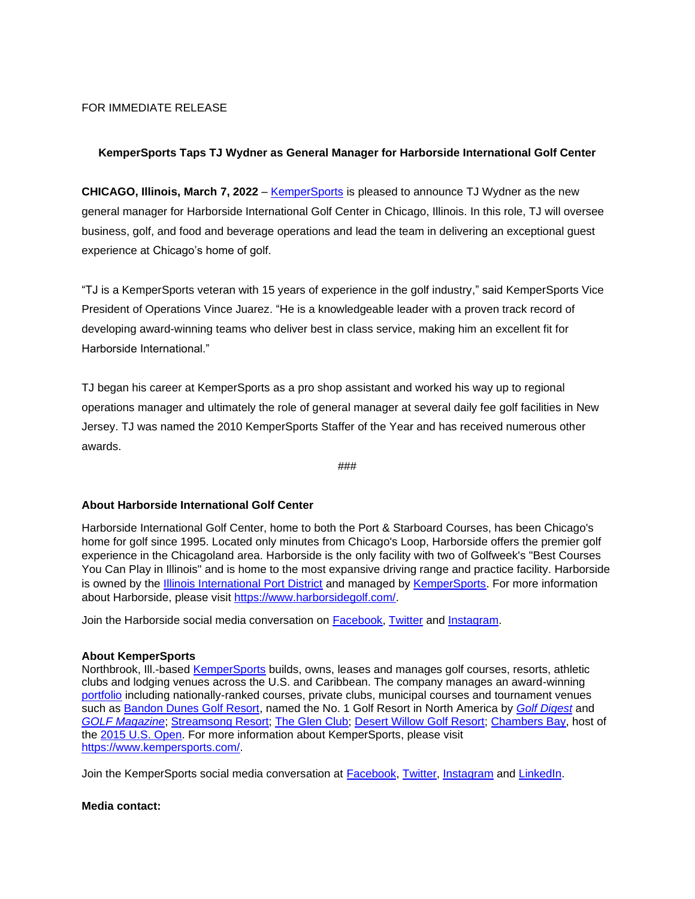### FOR IMMEDIATE RELEASE

# **KemperSports Taps TJ Wydner as General Manager for Harborside International Golf Center**

**CHICAGO, Illinois, March 7, 2022** – [KemperSports](http://www.kempersports.com/) is pleased to announce TJ Wydner as the new general manager for Harborside International Golf Center in Chicago, Illinois. In this role, TJ will oversee business, golf, and food and beverage operations and lead the team in delivering an exceptional guest experience at Chicago's home of golf.

"TJ is a KemperSports veteran with 15 years of experience in the golf industry," said KemperSports Vice President of Operations Vince Juarez. "He is a knowledgeable leader with a proven track record of developing award-winning teams who deliver best in class service, making him an excellent fit for Harborside International."

TJ began his career at KemperSports as a pro shop assistant and worked his way up to regional operations manager and ultimately the role of general manager at several daily fee golf facilities in New Jersey. TJ was named the 2010 KemperSports Staffer of the Year and has received numerous other awards.

###

# **About Harborside International Golf Center**

Harborside International Golf Center, home to both the Port & Starboard Courses, has been Chicago's home for golf since 1995. Located only minutes from Chicago's Loop, Harborside offers the premier golf experience in the Chicagoland area. Harborside is the only facility with two of Golfweek's "Best Courses You Can Play in Illinois" and is home to the most expansive driving range and practice facility. Harborside is owned by the [Illinois International Port District](https://www.iipd.com/) and managed by [KemperSports.](https://www.kempersports.com/) For more information about Harborside, please visit [https://www.harborsidegolf.com/.](https://www.harborsidegolf.com/)

Join the Harborside social media conversation on [Facebook,](https://www.facebook.com/HarborsideInternationalGolfCenter) [Twitter](https://twitter.com/harborsidegolf) and [Instagram.](https://www.instagram.com/harborsidegolf/?hl=en)

#### **About KemperSports**

Northbrook, Ill.-based [KemperSports](https://www.kempersports.com/) builds, owns, leases and manages golf courses, resorts, athletic clubs and lodging venues across the U.S. and Caribbean. The company manages an award-winning [portfolio](https://kempersports.com/properties/) including nationally-ranked courses, private clubs, municipal courses and tournament venues such as [Bandon Dunes Golf Resort,](http://www.bandondunesgolf.com/) named the No. 1 Golf Resort in North America by *[Golf Digest](http://www.golfdigest.com/)* and *[GOLF Magazine](http://www.golf.com/)*; [Streamsong Resort;](http://www.streamsongresort.com/) [The Glen Club;](http://www.theglenclub.com/) [Desert Willow Golf Resort;](http://www.desertwillow.com/) [Chambers Bay,](http://www.chambersbaygolf.com/) host of the [2015 U.S. Open.](http://www.golf.com/tour-and-news/chambers-bay-host-2015-us-open) For more information about KemperSports, please visit [https://www.kempersports.com/.](https://www.kempersports.com/)

Join the KemperSports social media conversation at [Facebook,](http://www.facebook.com/kempersports) [Twitter,](http://www.twitter.com/kempersports) [Instagram](https://www.instagram.com/kempersports) and [LinkedIn.](https://www.linkedin.com/company/kempersports/)

#### **Media contact:**